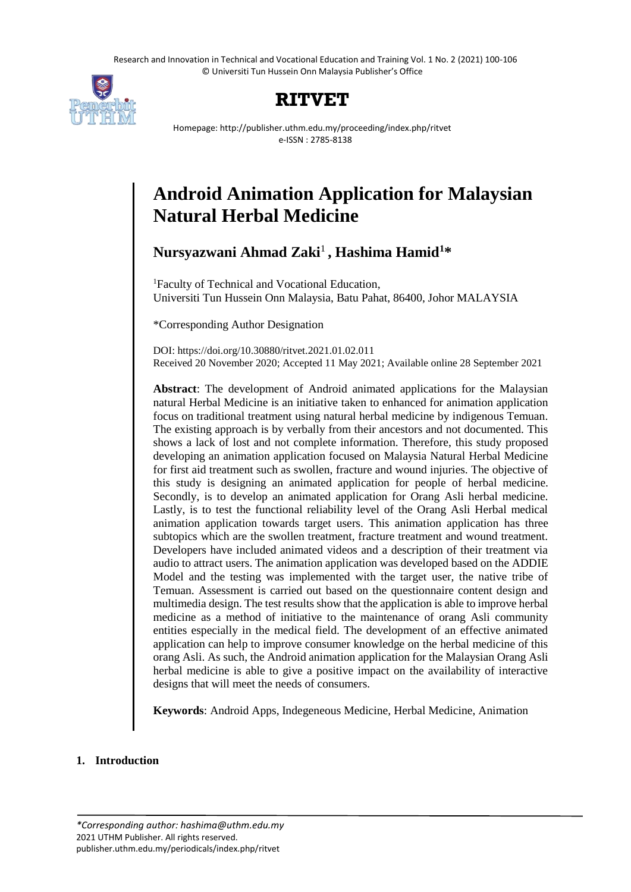Research and Innovation in Technical and Vocational Education and Training Vol. 1 No. 2 (2021) 100-106 © Universiti Tun Hussein Onn Malaysia Publisher's Office



## **RITVET**

Homepage: http://publisher.uthm.edu.my/proceeding/index.php/ritvet e-ISSN : 2785-8138

# **Android Animation Application for Malaysian Natural Herbal Medicine**

**Nursyazwani Ahmad Zaki**<sup>1</sup> **, Hashima Hamid<sup>1</sup>\***

<sup>1</sup>Faculty of Technical and Vocational Education, Universiti Tun Hussein Onn Malaysia, Batu Pahat, 86400, Johor MALAYSIA

\*Corresponding Author Designation

DOI: https://doi.org/10.30880/ritvet.2021.01.02.011 Received 20 November 2020; Accepted 11 May 2021; Available online 28 September 2021

**Abstract**: The development of Android animated applications for the Malaysian natural Herbal Medicine is an initiative taken to enhanced for animation application focus on traditional treatment using natural herbal medicine by indigenous Temuan. The existing approach is by verbally from their ancestors and not documented. This shows a lack of lost and not complete information. Therefore, this study proposed developing an animation application focused on Malaysia Natural Herbal Medicine for first aid treatment such as swollen, fracture and wound injuries. The objective of this study is designing an animated application for people of herbal medicine. Secondly, is to develop an animated application for Orang Asli herbal medicine. Lastly, is to test the functional reliability level of the Orang Asli Herbal medical animation application towards target users. This animation application has three subtopics which are the swollen treatment, fracture treatment and wound treatment. Developers have included animated videos and a description of their treatment via audio to attract users. The animation application was developed based on the ADDIE Model and the testing was implemented with the target user, the native tribe of Temuan. Assessment is carried out based on the questionnaire content design and multimedia design. The test results show that the application is able to improve herbal medicine as a method of initiative to the maintenance of orang Asli community entities especially in the medical field. The development of an effective animated application can help to improve consumer knowledge on the herbal medicine of this orang Asli. As such, the Android animation application for the Malaysian Orang Asli herbal medicine is able to give a positive impact on the availability of interactive designs that will meet the needs of consumers.

**Keywords**: Android Apps, Indegeneous Medicine, Herbal Medicine, Animation

## **1. Introduction**

*\*Corresponding author: hashima@uthm.edu.my* 2021 UTHM Publisher. All rights reserved. publisher.uthm.edu.my/periodicals/index.php/ritvet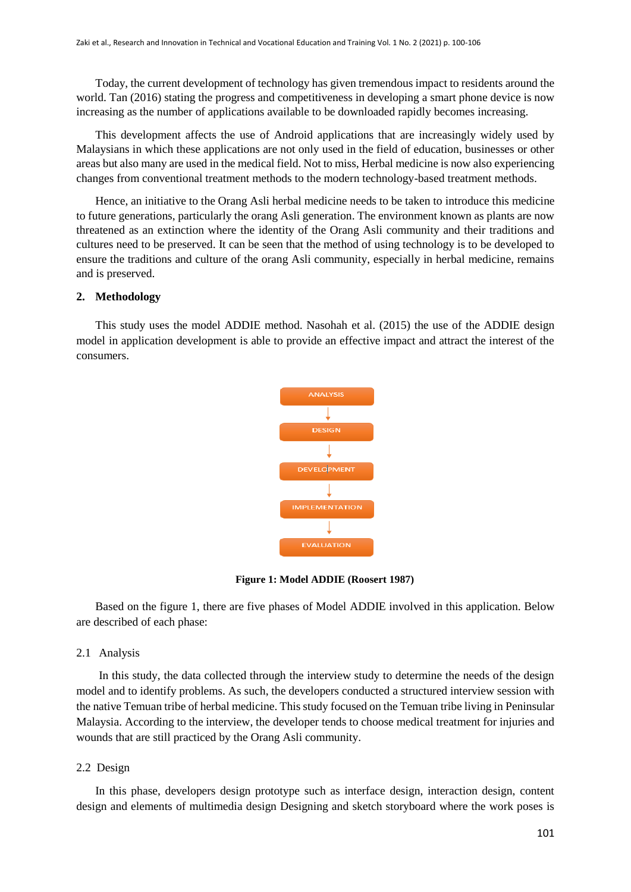Today, the current development of technology has given tremendous impact to residents around the world. Tan (2016) stating the progress and competitiveness in developing a smart phone device is now increasing as the number of applications available to be downloaded rapidly becomes increasing.

This development affects the use of Android applications that are increasingly widely used by Malaysians in which these applications are not only used in the field of education, businesses or other areas but also many are used in the medical field. Not to miss, Herbal medicine is now also experiencing changes from conventional treatment methods to the modern technology-based treatment methods.

Hence, an initiative to the Orang Asli herbal medicine needs to be taken to introduce this medicine to future generations, particularly the orang Asli generation. The environment known as plants are now threatened as an extinction where the identity of the Orang Asli community and their traditions and cultures need to be preserved. It can be seen that the method of using technology is to be developed to ensure the traditions and culture of the orang Asli community, especially in herbal medicine, remains and is preserved.

## **2. Methodology**

This study uses the model ADDIE method. Nasohah et al. (2015) the use of the ADDIE design model in application development is able to provide an effective impact and attract the interest of the consumers.



**Figure 1: Model ADDIE (Roosert 1987)**

Based on the figure 1, there are five phases of Model ADDIE involved in this application. Below are described of each phase:

## 2.1 Analysis

In this study, the data collected through the interview study to determine the needs of the design model and to identify problems. As such, the developers conducted a structured interview session with the native Temuan tribe of herbal medicine. This study focused on the Temuan tribe living in Peninsular Malaysia. According to the interview, the developer tends to choose medical treatment for injuries and wounds that are still practiced by the Orang Asli community.

## 2.2 Design

In this phase, developers design prototype such as interface design, interaction design, content design and elements of multimedia design Designing and sketch storyboard where the work poses is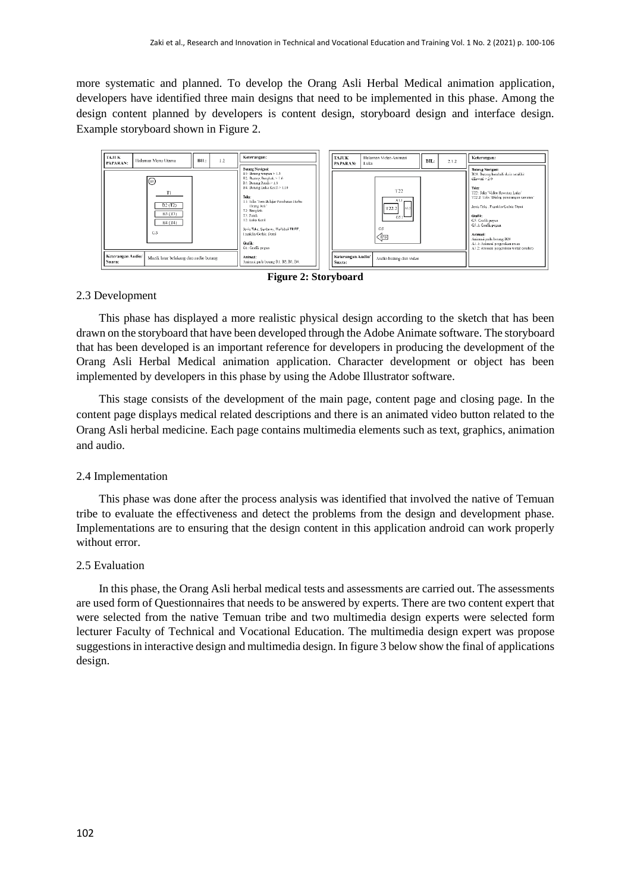more systematic and planned. To develop the Orang Asli Herbal Medical animation application, developers have identified three main designs that need to be implemented in this phase. Among the design content planned by developers is content design, storyboard design and interface design. Example storyboard shown in Figure 2.



**Figure 2: Storyboard**

#### 2.3 Development

This phase has displayed a more realistic physical design according to the sketch that has been drawn on the storyboard that have been developed through the Adobe Animate software. The storyboard that has been developed is an important reference for developers in producing the development of the Orang Asli Herbal Medical animation application. Character development or object has been implemented by developers in this phase by using the Adobe Illustrator software.

This stage consists of the development of the main page, content page and closing page. In the content page displays medical related descriptions and there is an animated video button related to the Orang Asli herbal medicine. Each page contains multimedia elements such as text, graphics, animation and audio.

#### 2.4 Implementation

This phase was done after the process analysis was identified that involved the native of Temuan tribe to evaluate the effectiveness and detect the problems from the design and development phase. Implementations are to ensuring that the design content in this application android can work properly without error.

## 2*.*5 Evaluation

In this phase, the Orang Asli herbal medical tests and assessments are carried out. The assessments are used form of Questionnaires that needs to be answered by experts. There are two content expert that were selected from the native Temuan tribe and two multimedia design experts were selected form lecturer Faculty of Technical and Vocational Education. The multimedia design expert was propose suggestions in interactive design and multimedia design. In figure 3 below show the final of applications design.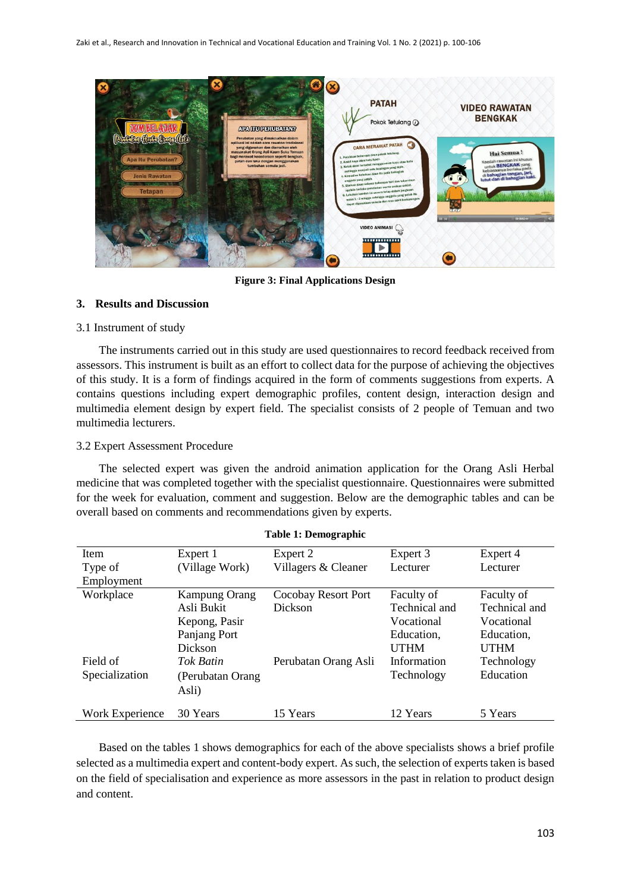

**Figure 3: Final Applications Design**

## **3. Results and Discussion**

#### 3.1 Instrument of study

The instruments carried out in this study are used questionnaires to record feedback received from assessors. This instrument is built as an effort to collect data for the purpose of achieving the objectives of this study. It is a form of findings acquired in the form of comments suggestions from experts. A contains questions including expert demographic profiles, content design, interaction design and multimedia element design by expert field. The specialist consists of 2 people of Temuan and two multimedia lecturers.

### 3.2 Expert Assessment Procedure

The selected expert was given the android animation application for the Orang Asli Herbal medicine that was completed together with the specialist questionnaire. Questionnaires were submitted for the week for evaluation, comment and suggestion. Below are the demographic tables and can be overall based on comments and recommendations given by experts.

| Item            | Expert 1             | Expert 2             | Expert 3      | Expert 4      |
|-----------------|----------------------|----------------------|---------------|---------------|
| Type of         | (Village Work)       | Villagers & Cleaner  | Lecturer      | Lecturer      |
| Employment      |                      |                      |               |               |
| Workplace       | <b>Kampung Orang</b> | Cocobay Resort Port  | Faculty of    | Faculty of    |
|                 | Asli Bukit           | Dickson              | Technical and | Technical and |
|                 | Kepong, Pasir        |                      | Vocational    | Vocational    |
|                 | Panjang Port         |                      | Education,    | Education,    |
|                 | Dickson              |                      | <b>UTHM</b>   | <b>UTHM</b>   |
| Field of        | <b>Tok Batin</b>     | Perubatan Orang Asli | Information   | Technology    |
| Specialization  | (Perubatan Orang     |                      | Technology    | Education     |
|                 | Asli)                |                      |               |               |
| Work Experience | 30 Years             | 15 Years             | 12 Years      | 5 Years       |

**Table 1: Demographic**

Based on the tables 1 shows demographics for each of the above specialists shows a brief profile selected as a multimedia expert and content-body expert. As such, the selection of experts taken is based on the field of specialisation and experience as more assessors in the past in relation to product design and content.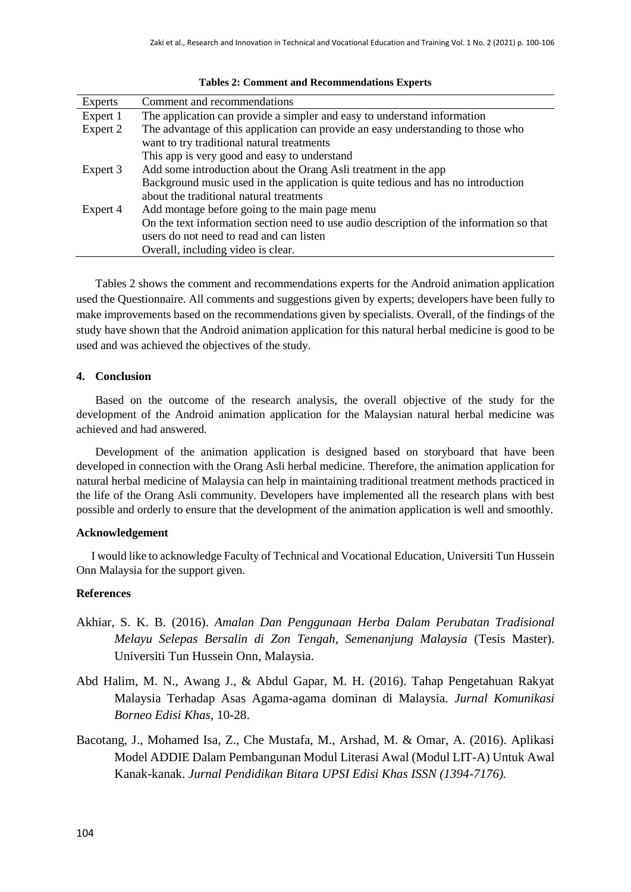| Experts  | Comment and recommendations                                                              |
|----------|------------------------------------------------------------------------------------------|
| Expert 1 | The application can provide a simpler and easy to understand information                 |
| Expert 2 | The advantage of this application can provide an easy understanding to those who         |
|          | want to try traditional natural treatments                                               |
|          | This app is very good and easy to understand                                             |
| Expert 3 | Add some introduction about the Orang Asli treatment in the app                          |
|          | Background music used in the application is quite tedious and has no introduction        |
|          | about the traditional natural treatments                                                 |
| Expert 4 | Add montage before going to the main page menu                                           |
|          | On the text information section need to use audio description of the information so that |
|          | users do not need to read and can listen                                                 |
|          | Overall, including video is clear.                                                       |

#### **Tables 2: Comment and Recommendations Experts**

Tables 2 shows the comment and recommendations experts for the Android animation application used the Questionnaire. All comments and suggestions given by experts; developers have been fully to make improvements based on the recommendations given by specialists. Overall, of the findings of the study have shown that the Android animation application for this natural herbal medicine is good to be used and was achieved the objectives of the study.

## **4. Conclusion**

Based on the outcome of the research analysis, the overall objective of the study for the development of the Android animation application for the Malaysian natural herbal medicine was achieved and had answered.

Development of the animation application is designed based on storyboard that have been developed in connection with the Orang Asli herbal medicine. Therefore, the animation application for natural herbal medicine of Malaysia can help in maintaining traditional treatment methods practiced in the life of the Orang Asli community. Developers have implemented all the research plans with best possible and orderly to ensure that the development of the animation application is well and smoothly.

#### **Acknowledgement**

I would like to acknowledge Faculty of Technical and Vocational Education, Universiti Tun Hussein Onn Malaysia for the support given.

#### **References**

- Akhiar, S. K. B. (2016). *Amalan Dan Penggunaan Herba Dalam Perubatan Tradisional Melayu Selepas Bersalin di Zon Tengah, Semenanjung Malaysia* (Tesis Master). Universiti Tun Hussein Onn, Malaysia.
- Abd Halim, M. N., Awang J., & Abdul Gapar, M. H. (2016). Tahap Pengetahuan Rakyat Malaysia Terhadap Asas Agama-agama dominan di Malaysia. *Jurnal Komunikasi Borneo Edisi Khas,* 10-28.
- Bacotang, J., Mohamed Isa, Z., Che Mustafa, M., Arshad, M. & Omar, A. (2016). Aplikasi Model ADDIE Dalam Pembangunan Modul Literasi Awal (Modul LIT-A) Untuk Awal Kanak-kanak. *Jurnal Pendidikan Bitara UPSI Edisi Khas ISSN (1394-7176).*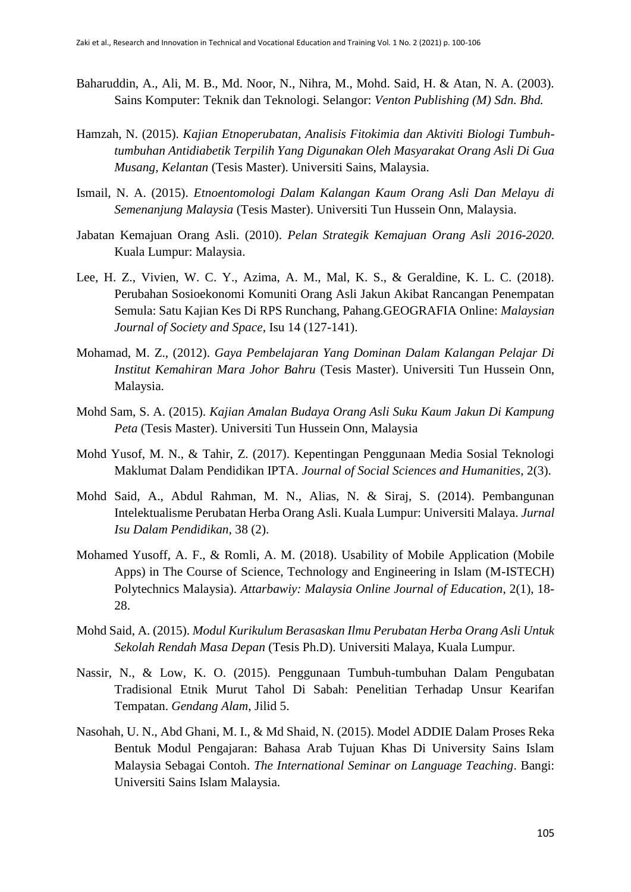- Baharuddin, A., Ali, M. B., Md. Noor, N., Nihra, M., Mohd. Said, H. & Atan, N. A. (2003). Sains Komputer: Teknik dan Teknologi. Selangor: *Venton Publishing (M) Sdn. Bhd.*
- Hamzah, N. (2015). *Kajian Etnoperubatan, Analisis Fitokimia dan Aktiviti Biologi Tumbuhtumbuhan Antidiabetik Terpilih Yang Digunakan Oleh Masyarakat Orang Asli Di Gua Musang, Kelantan* (Tesis Master). Universiti Sains, Malaysia.
- Ismail, N. A. (2015). *Etnoentomologi Dalam Kalangan Kaum Orang Asli Dan Melayu di Semenanjung Malaysia* (Tesis Master). Universiti Tun Hussein Onn, Malaysia.
- Jabatan Kemajuan Orang Asli. (2010). *Pelan Strategik Kemajuan Orang Asli 2016-2020.*  Kuala Lumpur: Malaysia.
- Lee, H. Z., Vivien, W. C. Y., Azima, A. M., Mal, K. S., & Geraldine, K. L. C. (2018). Perubahan Sosioekonomi Komuniti Orang Asli Jakun Akibat Rancangan Penempatan Semula: Satu Kajian Kes Di RPS Runchang, Pahang.GEOGRAFIA Online: *Malaysian Journal of Society and Space*, Isu 14 (127-141).
- Mohamad, M. Z., (2012). *Gaya Pembelajaran Yang Dominan Dalam Kalangan Pelajar Di Institut Kemahiran Mara Johor Bahru* (Tesis Master). Universiti Tun Hussein Onn, Malaysia.
- Mohd Sam, S. A. (2015). *Kajian Amalan Budaya Orang Asli Suku Kaum Jakun Di Kampung Peta* (Tesis Master). Universiti Tun Hussein Onn, Malaysia
- Mohd Yusof, M. N., & Tahir, Z. (2017). Kepentingan Penggunaan Media Sosial Teknologi Maklumat Dalam Pendidikan IPTA. *Journal of Social Sciences and Humanities*, 2(3).
- Mohd Said, A., Abdul Rahman, M. N., Alias, N. & Siraj, S. (2014). Pembangunan Intelektualisme Perubatan Herba Orang Asli. Kuala Lumpur: Universiti Malaya. *Jurnal Isu Dalam Pendidikan,* 38 (2).
- Mohamed Yusoff, A. F., & Romli, A. M. (2018). Usability of Mobile Application (Mobile Apps) in The Course of Science, Technology and Engineering in Islam (M-ISTECH) Polytechnics Malaysia). *Attarbawiy: Malaysia Online Journal of Education*, 2(1), 18- 28.
- Mohd Said, A. (2015). *Modul Kurikulum Berasaskan Ilmu Perubatan Herba Orang Asli Untuk Sekolah Rendah Masa Depan* (Tesis Ph.D). Universiti Malaya, Kuala Lumpur.
- Nassir, N., & Low, K. O. (2015). Penggunaan Tumbuh-tumbuhan Dalam Pengubatan Tradisional Etnik Murut Tahol Di Sabah: Penelitian Terhadap Unsur Kearifan Tempatan. *Gendang Alam*, Jilid 5.
- Nasohah, U. N., Abd Ghani, M. I., & Md Shaid, N. (2015). Model ADDIE Dalam Proses Reka Bentuk Modul Pengajaran: Bahasa Arab Tujuan Khas Di University Sains Islam Malaysia Sebagai Contoh. *The International Seminar on Language Teaching*. Bangi: Universiti Sains Islam Malaysia.